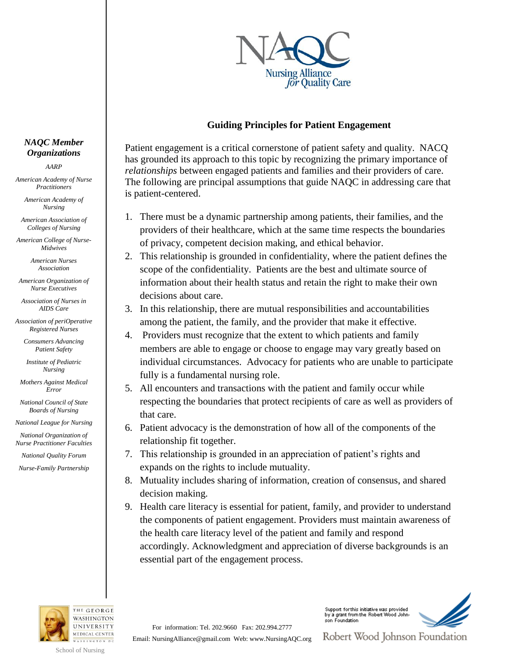

### **Guiding Principles for Patient Engagement**

Patient engagement is a critical cornerstone of patient safety and quality. NACQ has grounded its approach to this topic by recognizing the primary importance of *relationships* between engaged patients and families and their providers of care. The following are principal assumptions that guide NAQC in addressing care that is patient-centered.

- 1. There must be a dynamic partnership among patients, their families, and the providers of their healthcare, which at the same time respects the boundaries of privacy, competent decision making, and ethical behavior.
- 2. This relationship is grounded in confidentiality, where the patient defines the scope of the confidentiality. Patients are the best and ultimate source of information about their health status and retain the right to make their own decisions about care.
- 3. In this relationship, there are mutual responsibilities and accountabilities among the patient, the family, and the provider that make it effective.
- 4. Providers must recognize that the extent to which patients and family members are able to engage or choose to engage may vary greatly based on individual circumstances. Advocacy for patients who are unable to participate fully is a fundamental nursing role.
- 5. All encounters and transactions with the patient and family occur while respecting the boundaries that protect recipients of care as well as providers of that care.
- 6. Patient advocacy is the demonstration of how all of the components of the relationship fit together.
- 7. This relationship is grounded in an appreciation of patient's rights and expands on the rights to include mutuality.
- 8. Mutuality includes sharing of information, creation of consensus, and shared decision making.
- 9. Health care literacy is essential for patient, family, and provider to understand the components of patient engagement. Providers must maintain awareness of the health care literacy level of the patient and family and respond accordingly. Acknowledgment and appreciation of diverse backgrounds is an essential part of the engagement process.



WASHINGTON DC School of Nursing

For information: Tel. 202.9660 Fax: 202.994.2777

Support for this initiative was provided by a grant from the Robert Wood Johnson Foundation



Email: NursingAlliance@gmail.com Web: www.NursingAQC.org

Robert Wood Johnson Foundation

#### *NAQC Member Organizations*

*AARP*

*American Academy of Nurse Practitioners*

> *American Academy of Nursing*

*American Association of Colleges of Nursing*

*American College of Nurse-Midwives*

> *American Nurses Association*

*American Organization of Nurse Executives*

*Association of Nurses in AIDS Care*

*Association of periOperative Registered Nurses*

> *Consumers Advancing Patient Safety*

*Institute of Pediatric Nursing*

*Mothers Against Medical Error*

*National Council of State Boards of Nursing*

*National League for Nursing*

*National Organization of Nurse Practitioner Faculties*

*National Quality Forum*

*Nurse-Family Partnership*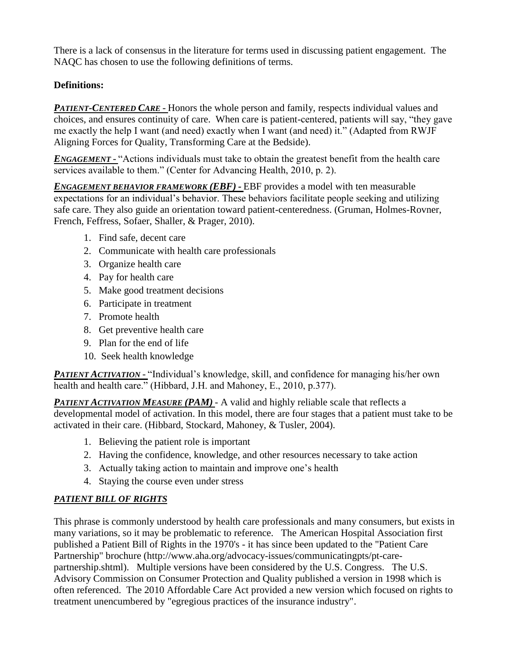There is a lack of consensus in the literature for terms used in discussing patient engagement. The NAQC has chosen to use the following definitions of terms.

# **Definitions:**

*PATIENT-CENTERED CARE* - Honors the whole person and family, respects individual values and choices, and ensures continuity of care. When care is patient-centered, patients will say, "they gave me exactly the help I want (and need) exactly when I want (and need) it." (Adapted from RWJF Aligning Forces for Quality, Transforming Care at the Bedside).

*ENGAGEMENT* – "Actions individuals must take to obtain the greatest benefit from the health care services available to them." (Center for Advancing Health, 2010, p. 2).

*ENGAGEMENT BEHAVIOR FRAMEWORK (EBF) -* EBF provides a model with ten measurable expectations for an individual's behavior. These behaviors facilitate people seeking and utilizing safe care. They also guide an orientation toward patient-centeredness. (Gruman, Holmes-Rovner, French, Feffress, Sofaer, Shaller, & Prager, 2010).

- 1. Find safe, decent care
- 2. Communicate with health care professionals
- 3. Organize health care
- 4. Pay for health care
- 5. Make good treatment decisions
- 6. Participate in treatment
- 7. Promote health
- 8. Get preventive health care
- 9. Plan for the end of life
- 10. Seek health knowledge

*PATIENT ACTIVATION* – "Individual's knowledge, skill, and confidence for managing his/her own health and health care." (Hibbard, J.H. and Mahoney, E., 2010, p.377).

*PATIENT ACTIVATION MEASURE (PAM)* - A valid and highly reliable scale that reflects a developmental model of activation. In this model, there are four stages that a patient must take to be activated in their care. (Hibbard, Stockard, Mahoney, & Tusler, 2004).

- 1. Believing the patient role is important
- 2. Having the confidence, knowledge, and other resources necessary to take action
- 3. Actually taking action to maintain and improve one's health
- 4. Staying the course even under stress

# *PATIENT BILL OF RIGHTS*

This phrase is commonly understood by health care professionals and many consumers, but exists in many variations, so it may be problematic to reference. The American Hospital Association first published a Patient Bill of Rights in the 1970's - it has since been updated to the "Patient Care Partnership" brochure (http://www.aha.org/advocacy-issues/communicatingpts/pt-carepartnership.shtml). Multiple versions have been considered by the U.S. Congress. The U.S. Advisory Commission on Consumer Protection and Quality published a version in 1998 which is often referenced. The 2010 Affordable Care Act provided a new version which focused on rights to treatment unencumbered by "egregious practices of the insurance industry".